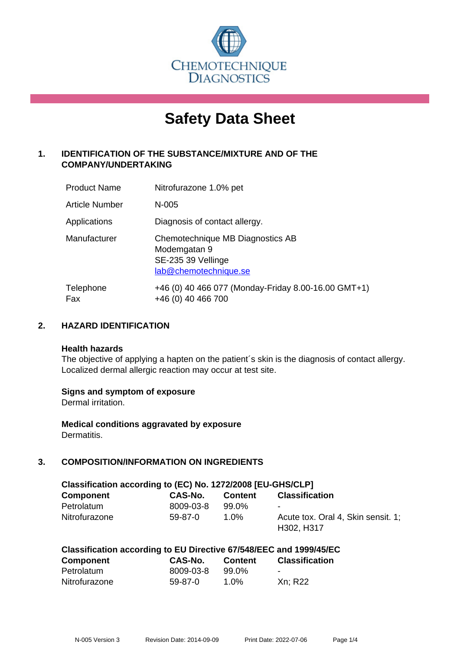

# **Safety Data Sheet**

# **1. IDENTIFICATION OF THE SUBSTANCE/MIXTURE AND OF THE COMPANY/UNDERTAKING**

| <b>Product Name</b> | Nitrofurazone 1.0% pet                                                                          |
|---------------------|-------------------------------------------------------------------------------------------------|
| Article Number      | N-005                                                                                           |
| Applications        | Diagnosis of contact allergy.                                                                   |
| Manufacturer        | Chemotechnique MB Diagnostics AB<br>Modemgatan 9<br>SE-235 39 Vellinge<br>lab@chemotechnique.se |
| Telephone<br>Fax    | +46 (0) 40 466 077 (Monday-Friday 8.00-16.00 GMT+1)<br>+46 (0) 40 466 700                       |

## **2. HAZARD IDENTIFICATION**

#### **Health hazards**

The objective of applying a hapten on the patient's skin is the diagnosis of contact allergy. Localized dermal allergic reaction may occur at test site.

## **Signs and symptom of exposure**

Dermal irritation.

**Medical conditions aggravated by exposure** Dermatitis.

# **3. COMPOSITION/INFORMATION ON INGREDIENTS**

| Classification according to (EC) No. 1272/2008 [EU-GHS/CLP] |           |                |                                    |  |  |
|-------------------------------------------------------------|-----------|----------------|------------------------------------|--|--|
| <b>Component</b>                                            | CAS-No.   | <b>Content</b> | <b>Classification</b>              |  |  |
| Petrolatum                                                  | 8009-03-8 | 99.0%          | $\sim$                             |  |  |
| Nitrofurazone                                               | 59-87-0   | 1.0%           | Acute tox. Oral 4, Skin sensit. 1: |  |  |
|                                                             |           |                | H302, H317                         |  |  |

|  | Classification according to EU Directive 67/548/EEC and 1999/45/EC |
|--|--------------------------------------------------------------------|
|--|--------------------------------------------------------------------|

| <b>Component</b> | CAS-No.   | <b>Content</b> | <b>Classification</b> |
|------------------|-----------|----------------|-----------------------|
| Petrolatum       | 8009-03-8 | 99.0%          | $\sim$                |
| Nitrofurazone    | $59-87-0$ | $1.0\%$        | Xn; R22               |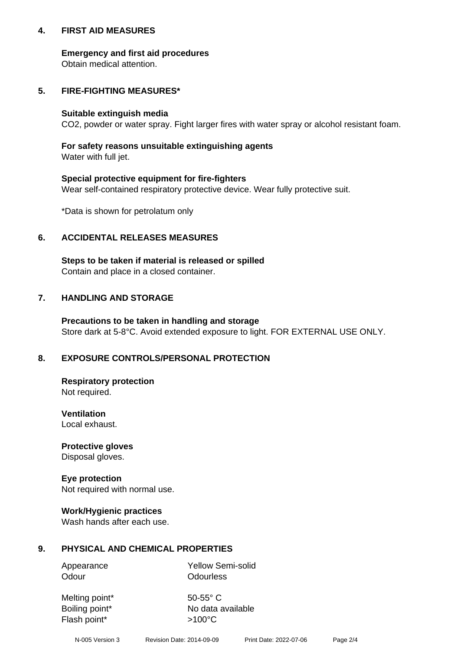## **4. FIRST AID MEASURES**

## **Emergency and first aid procedures**

Obtain medical attention.

# **5. FIRE-FIGHTING MEASURES\***

#### **Suitable extinguish media**

CO2, powder or water spray. Fight larger fires with water spray or alcohol resistant foam.

# **For safety reasons unsuitable extinguishing agents**

Water with full jet.

## **Special protective equipment for fire-fighters**

Wear self-contained respiratory protective device. Wear fully protective suit.

\*Data is shown for petrolatum only

## **6. ACCIDENTAL RELEASES MEASURES**

**Steps to be taken if material is released or spilled** Contain and place in a closed container.

# **7. HANDLING AND STORAGE**

**Precautions to be taken in handling and storage** Store dark at 5-8°C. Avoid extended exposure to light. FOR EXTERNAL USE ONLY.

# **8. EXPOSURE CONTROLS/PERSONAL PROTECTION**

**Respiratory protection** Not required.

**Ventilation** Local exhaust.

**Protective gloves** Disposal gloves.

#### **Eye protection** Not required with normal use.

## **Work/Hygienic practices**

Wash hands after each use.

## **9. PHYSICAL AND CHEMICAL PROPERTIES**

Odour **Odourless** 

Appearance Yellow Semi-solid

Melting point\* 50-55° C Flash point\*  $>100^{\circ}$ C

Boiling point\* No data available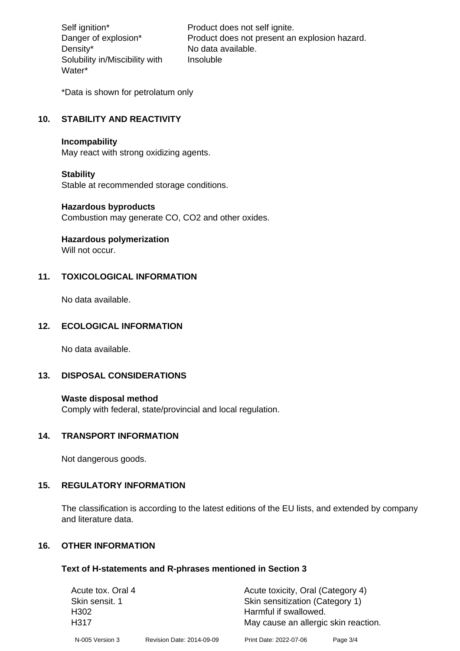Density\* No data available. Solubility in/Miscibility with Water\*

Self ignition\* Product does not self ignite. Danger of explosion\* Product does not present an explosion hazard. Insoluble

\*Data is shown for petrolatum only

# **10. STABILITY AND REACTIVITY**

#### **Incompability**

May react with strong oxidizing agents.

#### **Stability**

Stable at recommended storage conditions.

#### **Hazardous byproducts**

Combustion may generate CO, CO2 and other oxides.

**Hazardous polymerization**

Will not occur.

## **11. TOXICOLOGICAL INFORMATION**

No data available.

## **12. ECOLOGICAL INFORMATION**

No data available.

## **13. DISPOSAL CONSIDERATIONS**

#### **Waste disposal method**

Comply with federal, state/provincial and local regulation.

#### **14. TRANSPORT INFORMATION**

Not dangerous goods.

## **15. REGULATORY INFORMATION**

The classification is according to the latest editions of the EU lists, and extended by company and literature data.

#### **16. OTHER INFORMATION**

#### **Text of H-statements and R-phrases mentioned in Section 3**

| Acute tox. Oral 4 |                           | Acute toxicity, Oral (Category 4)    |          |  |
|-------------------|---------------------------|--------------------------------------|----------|--|
| Skin sensit. 1    |                           | Skin sensitization (Category 1)      |          |  |
| H302              |                           | Harmful if swallowed.                |          |  |
| H317              |                           | May cause an allergic skin reaction. |          |  |
| N-005 Version 3   | Revision Date: 2014-09-09 | Print Date: 2022-07-06               | Page 3/4 |  |